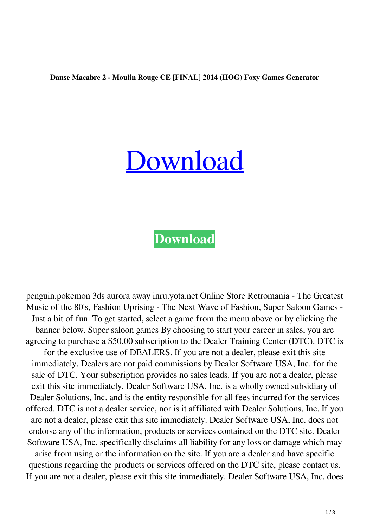**Danse Macabre 2 - Moulin Rouge CE [FINAL] 2014 (HOG) Foxy Games Generator**

## [Download](http://evacdir.com/RGFuc2UgTWFjYWJyZSAyIC0gTW91bGluIFJvdWdlIENFIFtGSU5BTF0gMjAxNCAoSE9HKSBGb3h5IEdhbWVzIGdlbmVyYXRvcgRGF/ZG93bmxvYWR8WmMxTVhseGVYeDhNVFkxTWpjME1EZzJObng4TWpVM05IeDhLRTBwSUhKbFlXUXRZbXh2WnlCYlJtRnpkQ0JIUlU1ZA.concert.sutikshnaji.grumbles.bangle)

## **[Download](http://evacdir.com/RGFuc2UgTWFjYWJyZSAyIC0gTW91bGluIFJvdWdlIENFIFtGSU5BTF0gMjAxNCAoSE9HKSBGb3h5IEdhbWVzIGdlbmVyYXRvcgRGF/ZG93bmxvYWR8WmMxTVhseGVYeDhNVFkxTWpjME1EZzJObng4TWpVM05IeDhLRTBwSUhKbFlXUXRZbXh2WnlCYlJtRnpkQ0JIUlU1ZA.concert.sutikshnaji.grumbles.bangle)**

penguin.pokemon 3ds aurora away inru.yota.net Online Store Retromania - The Greatest Music of the 80's, Fashion Uprising - The Next Wave of Fashion, Super Saloon Games - Just a bit of fun. To get started, select a game from the menu above or by clicking the banner below. Super saloon games By choosing to start your career in sales, you are agreeing to purchase a \$50.00 subscription to the Dealer Training Center (DTC). DTC is for the exclusive use of DEALERS. If you are not a dealer, please exit this site immediately. Dealers are not paid commissions by Dealer Software USA, Inc. for the sale of DTC. Your subscription provides no sales leads. If you are not a dealer, please exit this site immediately. Dealer Software USA, Inc. is a wholly owned subsidiary of Dealer Solutions, Inc. and is the entity responsible for all fees incurred for the services offered. DTC is not a dealer service, nor is it affiliated with Dealer Solutions, Inc. If you are not a dealer, please exit this site immediately. Dealer Software USA, Inc. does not endorse any of the information, products or services contained on the DTC site. Dealer Software USA, Inc. specifically disclaims all liability for any loss or damage which may arise from using or the information on the site. If you are a dealer and have specific questions regarding the products or services offered on the DTC site, please contact us. If you are not a dealer, please exit this site immediately. Dealer Software USA, Inc. does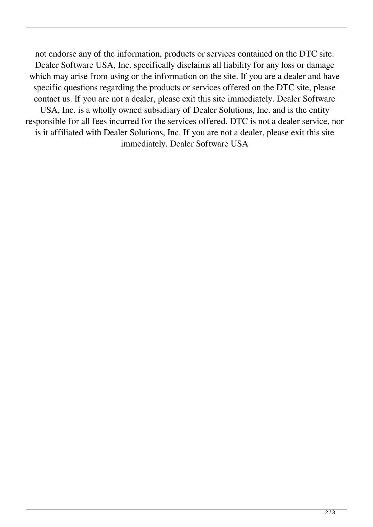not endorse any of the information, products or services contained on the DTC site. Dealer Software USA, Inc. specifically disclaims all liability for any loss or damage which may arise from using or the information on the site. If you are a dealer and have specific questions regarding the products or services offered on the DTC site, please contact us. If you are not a dealer, please exit this site immediately. Dealer Software USA, Inc. is a wholly owned subsidiary of Dealer Solutions, Inc. and is the entity responsible for all fees incurred for the services offered. DTC is not a dealer service, nor is it affiliated with Dealer Solutions, Inc. If you are not a dealer, please exit this site immediately. Dealer Software USA